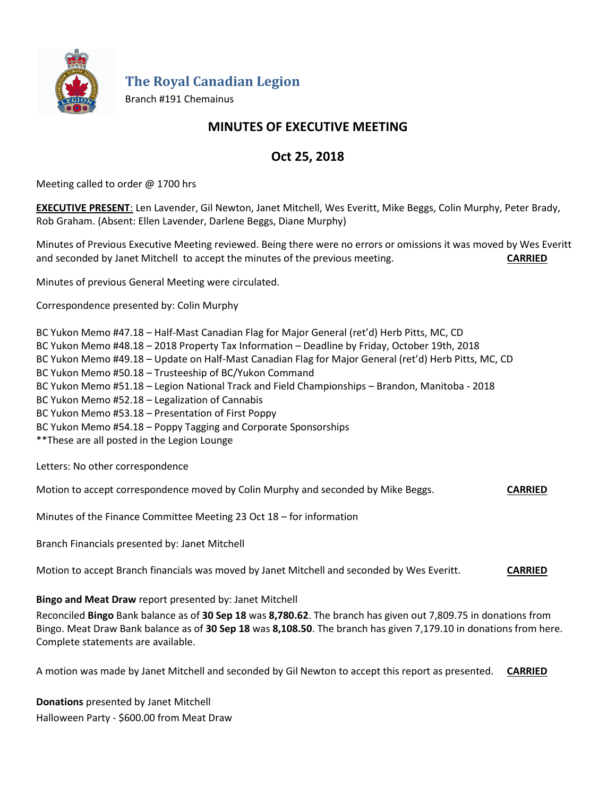

**The Royal Canadian Legion**

Branch #191 Chemainus

## **MINUTES OF EXECUTIVE MEETING**

# **Oct 25, 2018**

Meeting called to order @ 1700 hrs

**EXECUTIVE PRESENT**: Len Lavender, Gil Newton, Janet Mitchell, Wes Everitt, Mike Beggs, Colin Murphy, Peter Brady, Rob Graham. (Absent: Ellen Lavender, Darlene Beggs, Diane Murphy)

Minutes of Previous Executive Meeting reviewed. Being there were no errors or omissions it was moved by Wes Everitt and seconded by Janet Mitchell to accept the minutes of the previous meeting. **CARRIED**

Minutes of previous General Meeting were circulated.

Correspondence presented by: Colin Murphy

BC Yukon Memo #47.18 – Half-Mast Canadian Flag for Major General (ret'd) Herb Pitts, MC, CD

BC Yukon Memo #48.18 – 2018 Property Tax Information – Deadline by Friday, October 19th, 2018

BC Yukon Memo #49.18 – Update on Half-Mast Canadian Flag for Major General (ret'd) Herb Pitts, MC, CD

BC Yukon Memo #50.18 – Trusteeship of BC/Yukon Command

BC Yukon Memo #51.18 – Legion National Track and Field Championships – Brandon, Manitoba - 2018

BC Yukon Memo #52.18 – Legalization of Cannabis

BC Yukon Memo #53.18 – Presentation of First Poppy

BC Yukon Memo #54.18 – Poppy Tagging and Corporate Sponsorships

\*\*These are all posted in the Legion Lounge

Letters: No other correspondence

Motion to accept correspondence moved by Colin Murphy and seconded by Mike Beggs. **CARRIED**

Minutes of the Finance Committee Meeting 23 Oct 18 – for information

Branch Financials presented by: Janet Mitchell

Motion to accept Branch financials was moved by Janet Mitchell and seconded by Wes Everitt. **CARRIED**

**Bingo and Meat Draw** report presented by: Janet Mitchell

Reconciled **Bingo** Bank balance as of **30 Sep 18** was **8,780.62**. The branch has given out 7,809.75 in donations from Bingo. Meat Draw Bank balance as of **30 Sep 18** was **8,108.50**. The branch has given 7,179.10 in donations from here. Complete statements are available.

A motion was made by Janet Mitchell and seconded by Gil Newton to accept this report as presented. **CARRIED**

**Donations** presented by Janet Mitchell Halloween Party - \$600.00 from Meat Draw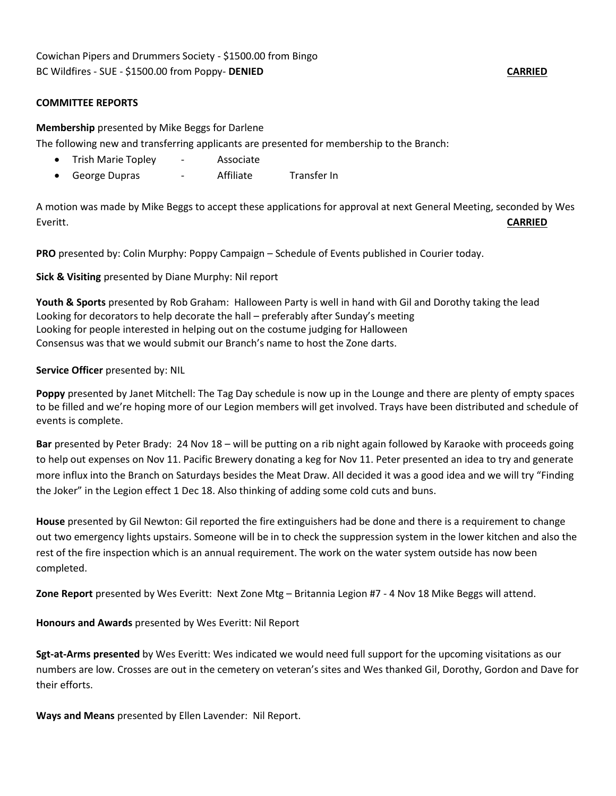#### **COMMITTEE REPORTS**

**Membership** presented by Mike Beggs for Darlene

The following new and transferring applicants are presented for membership to the Branch:

- Trish Marie Topley Associate
- George Dupras Affiliate Transfer In

A motion was made by Mike Beggs to accept these applications for approval at next General Meeting, seconded by Wes Everitt. **CARRIED**

**PRO** presented by: Colin Murphy: Poppy Campaign – Schedule of Events published in Courier today.

**Sick & Visiting** presented by Diane Murphy: Nil report

**Youth & Sports** presented by Rob Graham: Halloween Party is well in hand with Gil and Dorothy taking the lead Looking for decorators to help decorate the hall – preferably after Sunday's meeting Looking for people interested in helping out on the costume judging for Halloween Consensus was that we would submit our Branch's name to host the Zone darts.

### **Service Officer** presented by: NIL

**Poppy** presented by Janet Mitchell: The Tag Day schedule is now up in the Lounge and there are plenty of empty spaces to be filled and we're hoping more of our Legion members will get involved. Trays have been distributed and schedule of events is complete.

**Bar** presented by Peter Brady: 24 Nov 18 – will be putting on a rib night again followed by Karaoke with proceeds going to help out expenses on Nov 11. Pacific Brewery donating a keg for Nov 11. Peter presented an idea to try and generate more influx into the Branch on Saturdays besides the Meat Draw. All decided it was a good idea and we will try "Finding the Joker" in the Legion effect 1 Dec 18. Also thinking of adding some cold cuts and buns.

**House** presented by Gil Newton: Gil reported the fire extinguishers had be done and there is a requirement to change out two emergency lights upstairs. Someone will be in to check the suppression system in the lower kitchen and also the rest of the fire inspection which is an annual requirement. The work on the water system outside has now been completed.

**Zone Report** presented by Wes Everitt: Next Zone Mtg – Britannia Legion #7 - 4 Nov 18 Mike Beggs will attend.

**Honours and Awards** presented by Wes Everitt: Nil Report

**Sgt-at-Arms presented** by Wes Everitt: Wes indicated we would need full support for the upcoming visitations as our numbers are low. Crosses are out in the cemetery on veteran's sites and Wes thanked Gil, Dorothy, Gordon and Dave for their efforts.

**Ways and Means** presented by Ellen Lavender: Nil Report.